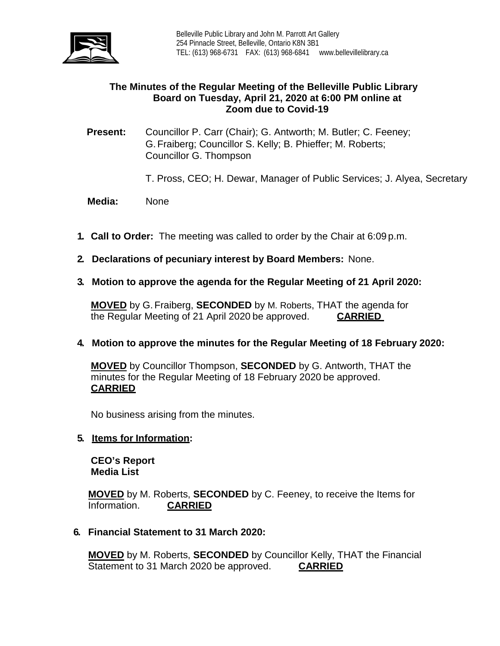

## **The Minutes of the Regular Meeting of the Belleville Public Library Board on Tuesday, April 21, 2020 at 6:00 PM online at Zoom due to Covid-19**

**Present:** Councillor P. Carr (Chair); G. Antworth; M. Butler; C. Feeney; G.Fraiberg; Councillor S. Kelly; B. Phieffer; M. Roberts; Councillor G. Thompson

T. Pross, CEO; H. Dewar, Manager of Public Services; J. Alyea, Secretary

 **Media:** None

- **1. Call to Order:** The meeting was called to order by the Chair at 6:09 p.m.
- **2. Declarations of pecuniary interest by Board Members:** None.
- **3. Motion to approve the agenda for the Regular Meeting of 21 April 2020:**

**MOVED** by G.Fraiberg, **SECONDED** by M. Roberts, THAT the agenda for the Regular Meeting of 21 April 2020 be approved. **CARRIED**

## **4. Motion to approve the minutes for the Regular Meeting of 18 February 2020:**

**MOVED** by Councillor Thompson, **SECONDED** by G. Antworth, THAT the minutes for the Regular Meeting of 18 February 2020 be approved. **CARRIED**

No business arising from the minutes.

#### **5. Items for Information:**

**CEO's Report Media List**

**MOVED** by M. Roberts, **SECONDED** by C. Feeney, to receive the Items for Information. **CARRIED** 

#### **6. Financial Statement to 31 March 2020:**

**MOVED** by M. Roberts, **SECONDED** by Councillor Kelly, THAT the Financial Statement to 31 March 2020 be approved. **CARRIED**